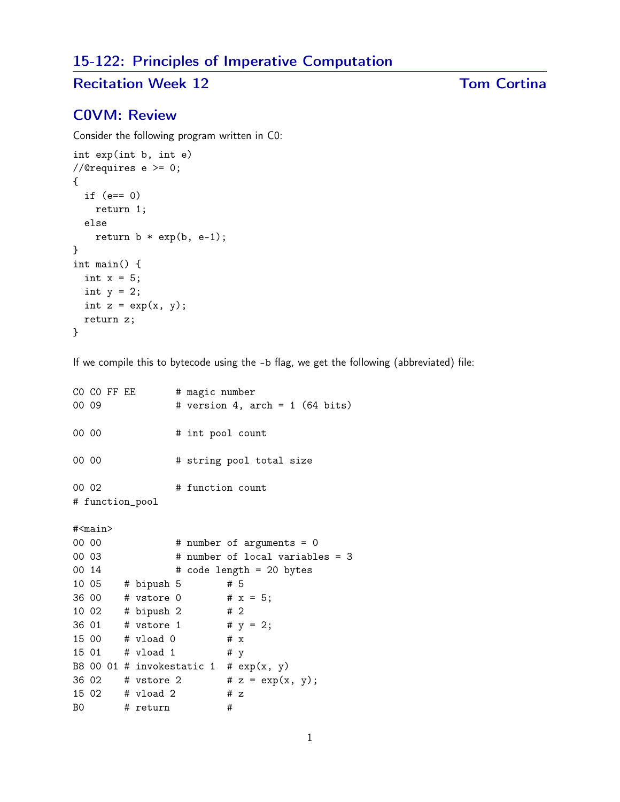## 15-122: Principles of Imperative Computation

# Recitation Week 12 Tom Cortina

### C0VM: Review

Consider the following program written in C0:

```
int exp(int b, int e)
//@requires e >= 0;
{
  if (e== 0)
    return 1;
 else
    return b * exp(b, e-1);}
int main() {
  int x = 5;
 int y = 2;
 int z = exp(x, y);
 return z;
}
```
If we compile this to bytecode using the -b flag, we get the following (abbreviated) file:

```
CO CO FF EE # magic number
00 09 # version 4, arch = 1 (64 bits)
00 00 # int pool count
00 00 # string pool total size
00 02 # function count
# function_pool
#<main>
00 00 # number of arguments = 0
00 03 # number of local variables = 3
00 \t14 # code length = 20 bytes
10 05 # bipush 5 # 5
36 00 # vstore 0 # x = 5;
10 02 # bipush 2 # 2
36 01 # vstore 1 # y = 2;
15 00 # vload 0 # x
15 01 # vload 1 # y
B8 00 01 # invokestatic 1 # exp(x, y)36 02 # vstore 2 # z = exp(x, y);15 02 # vload 2 # z
B0 # return #
```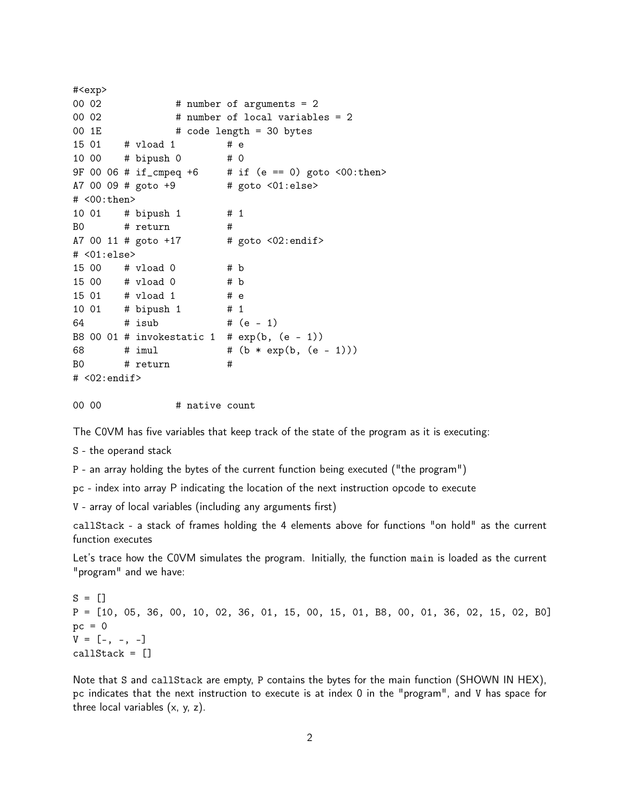```
#<exp>
00 02 # number of arguments = 2
00 02 # number of local variables = 2
00 1E \# code length = 30 bytes
15 01 # vload 1 # e
10 00 # bipush 0 # 0
9F 00 06 # if_cmpeq +6 # if (e == 0) goto <00:then>
A7 00 09 # goto +9 # goto <01:else>
# <00:then>
10 01 # bipush 1 # 1
B0 # return #
A7 00 11 # goto +17 # goto <02:endif># <01:else>
15 00 # vload 0 # b
15 00 # vload 0 # b
15 01 # vload 1 # e
10 01 # bipush 1 # 1
64 # isub # (e - 1)
B8 00 01 # invokestatic 1 # exp(b, (e - 1))68 # imul # (b * exp(b, (e - 1)))B0 # return #
# <02:endif>
```
00 00 # native count

The C0VM has five variables that keep track of the state of the program as it is executing:

S - the operand stack

P - an array holding the bytes of the current function being executed ("the program")

pc - index into array P indicating the location of the next instruction opcode to execute

V - array of local variables (including any arguments first)

callStack - a stack of frames holding the 4 elements above for functions "on hold" as the current function executes

Let's trace how the C0VM simulates the program. Initially, the function main is loaded as the current "program" and we have:

 $S = []$ P = [10, 05, 36, 00, 10, 02, 36, 01, 15, 00, 15, 01, B8, 00, 01, 36, 02, 15, 02, B0]  $pc = 0$  $V = [-, -, -]$ callStack = []

Note that S and callStack are empty, P contains the bytes for the main function (SHOWN IN HEX), pc indicates that the next instruction to execute is at index 0 in the "program", and V has space for three local variables (x, y, z).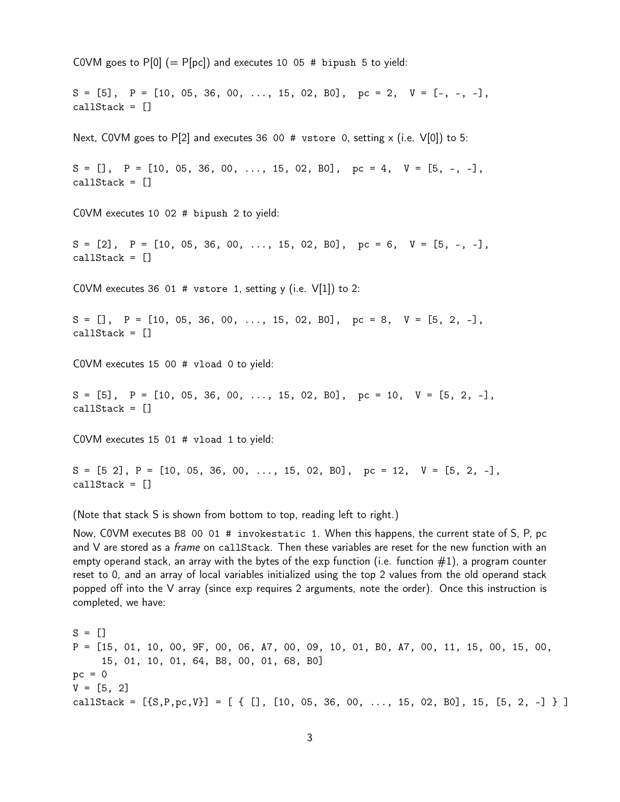COVM goes to  $P[0] (= P[pc])$  and executes 10 05 # bipush 5 to yield:  $S = [5], P = [10, 05, 36, 00, \ldots, 15, 02, B0], pc = 2, V = [-,-,-]$ callStack = [] Next, COVM goes to P[2] and executes 36 00 # vstore 0, setting x (i.e.  $V[0]$ ) to 5:  $S = []$ ,  $P = [10, 05, 36, 00, ..., 15, 02, B0]$ ,  $pc = 4$ ,  $V = [5, -, -]$ , callStack = [] C0VM executes 10 02 # bipush 2 to yield:  $S = [2], P = [10, 05, 36, 00, \ldots, 15, 02, B0], pc = 6, V = [5, -, -],$ callStack = [] COVM executes 36 01 # vstore 1, setting y (i.e.  $V[1]$ ) to 2:  $S = []$ ,  $P = [10, 05, 36, 00, \ldots, 15, 02, B0]$ ,  $pc = 8$ ,  $V = [5, 2, -]$ , callStack = [] C0VM executes 15 00 # vload 0 to yield:  $S = [5], P = [10, 05, 36, 00, ..., 15, 02, B0], pc = 10, V = [5, 2, -],$ callStack = [] C0VM executes 15 01 # vload 1 to yield:  $S = [5 \ 2], P = [10, 05, 36, 00, \ldots, 15, 02, B0], pc = 12, V = [5, 2, -],$ callStack = [] (Note that stack S is shown from bottom to top, reading left to right.)

Now, C0VM executes B8 00 01 # invokestatic 1. When this happens, the current state of S, P, pc and V are stored as a *frame* on callStack. Then these variables are reset for the new function with an empty operand stack, an array with the bytes of the exp function (i.e. function  $\#1$ ), a program counter reset to 0, and an array of local variables initialized using the top 2 values from the old operand stack popped off into the V array (since exp requires 2 arguments, note the order). Once this instruction is completed, we have:

 $S = []$ P = [15, 01, 10, 00, 9F, 00, 06, A7, 00, 09, 10, 01, B0, A7, 00, 11, 15, 00, 15, 00, 15, 01, 10, 01, 64, B8, 00, 01, 68, B0]  $pc = 0$  $V = [5, 2]$ callStack =  $[{S, P, pc, V}] = [ { [ ] , [ 10, 05, 36, 00, ..., 15, 02, B0] , 15, [5, 2, -] } ]$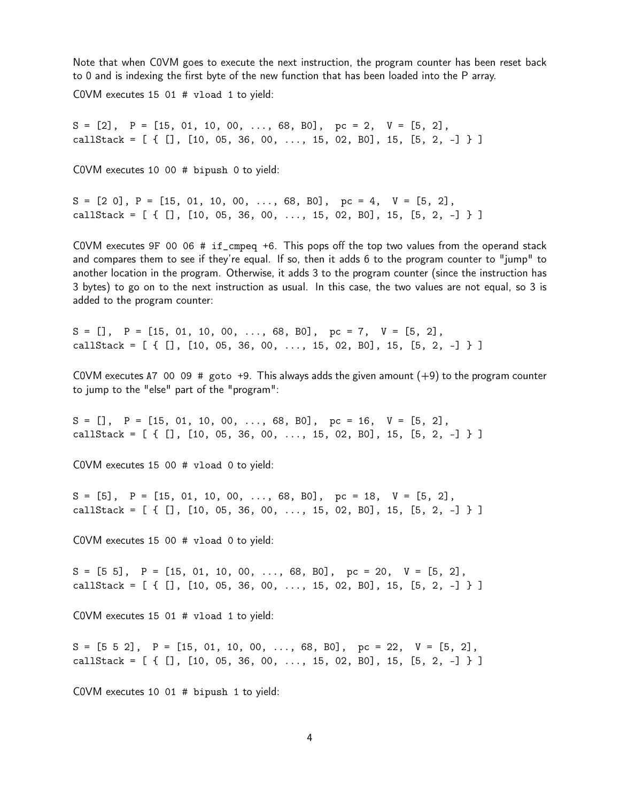Note that when C0VM goes to execute the next instruction, the program counter has been reset back to 0 and is indexing the first byte of the new function that has been loaded into the P array.

C0VM executes 15 01 # vload 1 to yield:

 $S = [2], P = [15, 01, 10, 00, ..., 68, B0], pc = 2, V = [5, 2],$ callStack =  $[ [ [ ] , [ 10 , 05 , 36 , 00 , ..., 15 , 02 , B0 ], 15 , [5 , 2 , -] ] ]$ 

C0VM executes 10 00 # bipush 0 to yield:

 $S = [2 \ 0], P = [15, 01, 10, 00, \ldots, 68, B0], pc = 4, V = [5, 2],$ callStack =  $[ \{ [ ] , [ 10, 05, 36, 00, ..., 15, 02, B0], 15, [5, 2, -] \} ]$ 

C0VM executes 9F 00 06 # if\_cmpeq +6. This pops off the top two values from the operand stack and compares them to see if they're equal. If so, then it adds 6 to the program counter to "jump" to another location in the program. Otherwise, it adds 3 to the program counter (since the instruction has 3 bytes) to go on to the next instruction as usual. In this case, the two values are not equal, so 3 is added to the program counter:

 $S = []$ ,  $P = [15, 01, 10, 00, ..., 68, B0]$ ,  $pc = 7$ ,  $V = [5, 2]$ , callStack =  $[ [ [ ] , [ 10 , 05 , 36 , 00 , ..., 15 , 02 , B0 ], 15 , [5 , 2 , -] ] ]$ 

COVM executes A7 00 09  $\#$  goto +9. This always adds the given amount  $(+9)$  to the program counter to jump to the "else" part of the "program":

 $S = []$ ,  $P = [15, 01, 10, 00, \ldots, 68, B0],$   $pc = 16$ ,  $V = [5, 2]$ , callStack =  $[$  {  $[]$ ,  $[10, 05, 36, 00, ..., 15, 02, 80]$ , 15,  $[5, 2, -]$  } ]

C0VM executes 15 00 # vload 0 to yield:

 $S = [5], P = [15, 01, 10, 00, ..., 68, B0], pc = 18, V = [5, 2],$ callStack =  $[ \{ [ ] , [ 10, 05, 36, 00, ..., 15, 02, B0], 15, [5, 2, -] \} ]$ 

C0VM executes 15 00 # vload 0 to yield:

 $S = [5 5], P = [15, 01, 10, 00, \ldots, 68, B0], pc = 20, V = [5, 2],$ callStack =  $[ \{ [ ] , [ 10, 05, 36, 00, ..., 15, 02, B0], 15, [5, 2, -] \} ]$ 

C0VM executes 15 01 # vload 1 to yield:

 $S = [5 \ 5 \ 2], \quad P = [15, 01, 10, 00, \ldots, 68, B0], \quad pc = 22, \quad V = [5, 2],$ callStack =  $[$  {  $[]$ ,  $[10, 05, 36, 00, ..., 15, 02, 80]$ , 15,  $[5, 2, -]$  } ]

C0VM executes 10 01 # bipush 1 to yield: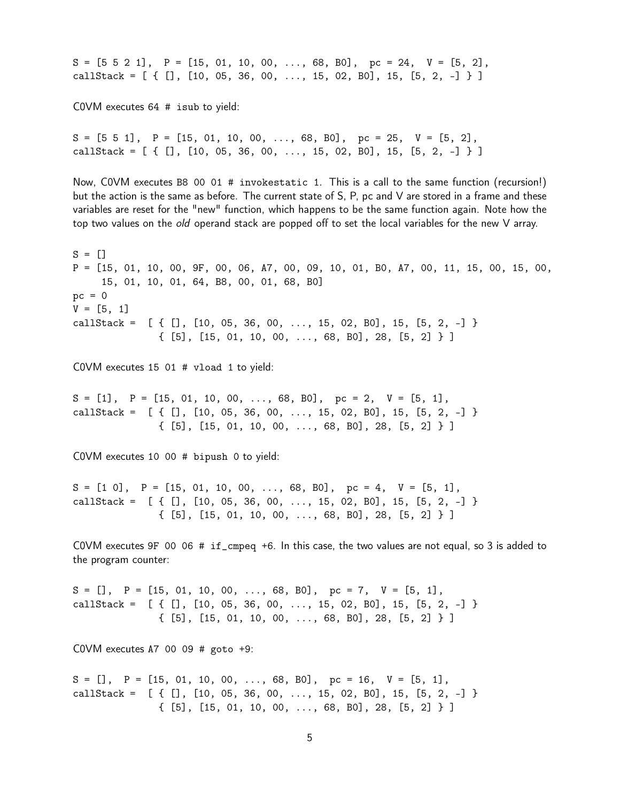$S = [5 \ 5 \ 2 \ 1], \quad P = [15, 01, 10, 00, \ldots, 68, B0], \quad pc = 24, \quad V = [5, 2],$ callStack =  $[$  {  $[]$ ,  $[10, 05, 36, 00, ..., 15, 02, 80]$ , 15,  $[5, 2, -]$  } ] C0VM executes 64 # isub to yield:  $S = [5 \ 5 \ 1], \quad P = [15, 01, 10, 00, \ldots, 68, B0], \quad pc = 25, \quad V = [5, 2],$ callStack =  $[ \{ [ ] , [ 10, 05, 36, 00, ..., 15, 02, B0 ], 15, [5, 2, -] \} ]$ Now, C0VM executes B8 00 01 # invokestatic 1. This is a call to the same function (recursion!) but the action is the same as before. The current state of S, P, pc and V are stored in a frame and these variables are reset for the "new" function, which happens to be the same function again. Note how the top two values on the *old* operand stack are popped off to set the local variables for the new V array.  $S = []$ P = [15, 01, 10, 00, 9F, 00, 06, A7, 00, 09, 10, 01, B0, A7, 00, 11, 15, 00, 15, 00, 15, 01, 10, 01, 64, B8, 00, 01, 68, B0]  $pc = 0$  $V = [5, 1]$ callStack =  $[ { [ ] , [ 10, 05, 36, 00, ..., 15, 02, B0], 15, [5, 2, -] }$ { [5], [15, 01, 10, 00, ..., 68, B0], 28, [5, 2] } ] C0VM executes 15 01 # vload 1 to yield:  $S = [1], P = [15, 01, 10, 00, \ldots, 68, B0], pc = 2, V = [5, 1],$ callStack =  $[ { [ ] , [ 10, 05, 36, 00, ..., 15, 02, B0], 15, [5, 2, -] }$ { [5], [15, 01, 10, 00, ..., 68, B0], 28, [5, 2] } ] C0VM executes 10 00 # bipush 0 to yield:  $S = [1 \ 0], \quad P = [15, 01, 10, 00, \ldots, 68, B0], \quad pc = 4, \quad V = [5, 1],$ callStack =  $[ { [ ] , [ 10, 05, 36, 00, ..., 15, 02, B0] , 15, [5, 2, -] }$ { [5], [15, 01, 10, 00, ..., 68, B0], 28, [5, 2] } ] C0VM executes 9F 00 06 # if\_cmpeq +6. In this case, the two values are not equal, so 3 is added to the program counter:  $S = []$ ,  $P = [15, 01, 10, 00, ..., 68, B0]$ ,  $pc = 7$ ,  $V = [5, 1]$ , callStack =  $[ { [ ] , [ 10, 05, 36, 00, ..., 15, 02, B0], 15, [5, 2, -] }$ { [5], [15, 01, 10, 00, ..., 68, B0], 28, [5, 2] } ] COVM executes A7 00 09  $\#$  goto  $+9$ :  $S = []$ ,  $P = [15, 01, 10, 00, ..., 68, B0],$   $pc = 16$ ,  $V = [5, 1],$ callStack =  $[ { [ ] , [ 10, 05, 36, 00, ..., 15, 02, B0] , 15, [5, 2, -] }$ { [5], [15, 01, 10, 00, ..., 68, B0], 28, [5, 2] } ]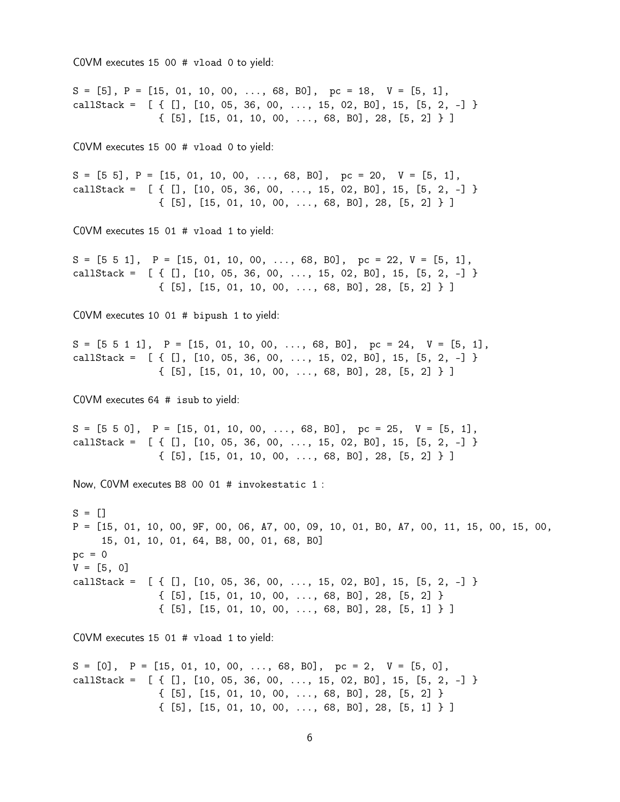C0VM executes 15 00 # vload 0 to yield:

 $S = [5], P = [15, 01, 10, 00, ..., 68, B0], pc = 18, V = [5, 1],$ callStack =  $[ { [ ] , [ 10, 05, 36, 00, ..., 15, 02, B0], 15, [5, 2, -] }$ { [5], [15, 01, 10, 00, ..., 68, B0], 28, [5, 2] } ] C0VM executes 15 00 # vload 0 to yield:  $S = [5 5], P = [15, 01, 10, 00, \ldots, 68, B0], pc = 20, V = [5, 1],$ callStack =  $[ { [ ] , [ 10, 05, 36, 00, ..., 15, 02, B0], 15, [5, 2, -] }$ { [5], [15, 01, 10, 00, ..., 68, B0], 28, [5, 2] } ] C0VM executes 15 01 # vload 1 to yield:  $S = [5 \ 5 \ 1], \quad P = [15, 01, 10, 00, \ldots, 68, B0], \quad pc = 22, V = [5, 1],$ callStack =  $[ { [ ] , [ 10, 05, 36, 00, ..., 15, 02, B0] , 15, [5, 2, -] }$ { [5], [15, 01, 10, 00, ..., 68, B0], 28, [5, 2] } ] C0VM executes 10 01 # bipush 1 to yield:  $S = [5 \ 5 \ 1 \ 1], \quad P = [15, 01, 10, 00, \ldots, 68, B0], \quad pc = 24, \quad V = [5, 1],$ callStack =  $[ { [ ] , [ 10, 05, 36, 00, ..., 15, 02, B0] , 15, [5, 2, -] }$ { [5], [15, 01, 10, 00, ..., 68, B0], 28, [5, 2] } ] C0VM executes 64 # isub to yield:  $S = [5 \ 5 \ 0], \quad P = [15, 01, 10, 00, \ldots, 68, B0], \quad pc = 25, \quad V = [5, 1],$ callStack =  $[ { [ ] , [ 10, 05, 36, 00, ..., 15, 02, B0] , 15, [5, 2, -] }$ { [5], [15, 01, 10, 00, ..., 68, B0], 28, [5, 2] } ] Now, C0VM executes B8 00 01 # invokestatic 1 :  $S = []$ P = [15, 01, 10, 00, 9F, 00, 06, A7, 00, 09, 10, 01, B0, A7, 00, 11, 15, 00, 15, 00, 15, 01, 10, 01, 64, B8, 00, 01, 68, B0]  $pc = 0$  $V = [5, 0]$ callStack =  $[ { [ ] , [ 10, 05, 36, 00, ..., 15, 02, B0] , 15, [5, 2, -] }$ { [5], [15, 01, 10, 00, ..., 68, B0], 28, [5, 2] } { [5], [15, 01, 10, 00, ..., 68, B0], 28, [5, 1] } ] C0VM executes 15 01 # vload 1 to yield:  $S = [0], P = [15, 01, 10, 00, \ldots, 68, B0], pc = 2, V = [5, 0],$ callStack =  $[ { [ ] , [ 10, 05, 36, 00, ..., 15, 02, B0] , 15, [5, 2, -] }$ { [5], [15, 01, 10, 00, ..., 68, B0], 28, [5, 2] } { [5], [15, 01, 10, 00, ..., 68, B0], 28, [5, 1] } ]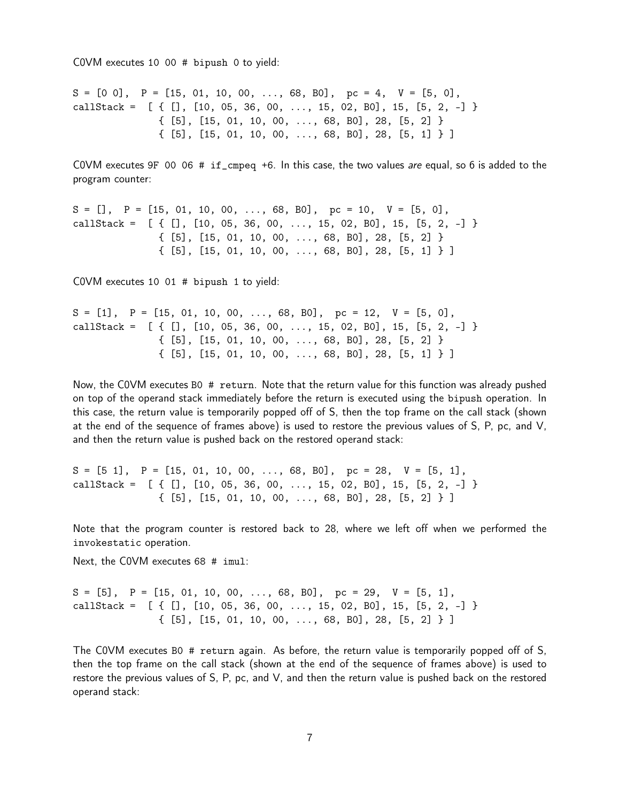C0VM executes 10 00 # bipush 0 to yield:

 $S = [0 \ 0], \quad P = [15, 01, 10, 00, \ldots, 68, B0], \quad pc = 4, \quad V = [5, 0],$ callStack =  $[ { [ ] , [ 10, 05, 36, 00, ..., 15, 02, B0] , 15, [5, 2, -] }$  $\{ [5], [15, 01, 10, 00, \ldots, 68, B0], 28, [5, 2] \}$ { [5], [15, 01, 10, 00, ..., 68, B0], 28, [5, 1] } ]

C0VM executes 9F 00 06 # if\_cmpeq +6. In this case, the two values are equal, so 6 is added to the program counter:

 $S = []$ ,  $P = [15, 01, 10, 00, \ldots, 68, B0]$ ,  $pc = 10$ ,  $V = [5, 0]$ , callStack =  $[ { [ ] , [ 10, 05, 36, 00, ..., 15, 02, B0], 15, [5, 2, -] }$  $\{ [5], [15, 01, 10, 00, \ldots, 68, B0], 28, [5, 2] \}$ { [5], [15, 01, 10, 00, ..., 68, B0], 28, [5, 1] } ]

C0VM executes 10 01 # bipush 1 to yield:

```
S = [1], P = [15, 01, 10, 00, \ldots, 68, B0], pc = 12, V = [5, 0],callStack = [ { [ ] , [ 10, 05, 36, 00, ..., 15, 02, B0] , 15, [5, 2, -] }{ [5], [15, 01, 10, 00, ..., 68, B0], 28, [5, 2] }
               { [5], [15, 01, 10, 00, ..., 68, B0], 28, [5, 1] } ]
```
Now, the C0VM executes B0 # return. Note that the return value for this function was already pushed on top of the operand stack immediately before the return is executed using the bipush operation. In this case, the return value is temporarily popped off of S, then the top frame on the call stack (shown at the end of the sequence of frames above) is used to restore the previous values of S, P, pc, and V, and then the return value is pushed back on the restored operand stack:

 $S = [5 \ 1], \quad P = [15, 01, 10, 00, \ldots, 68, B0], \quad pc = 28, \quad V = [5, 1],$ callStack =  $[ { [ ] , [ 10, 05, 36, 00, ..., 15, 02, B0] , 15, [5, 2, -] }$ { [5], [15, 01, 10, 00, ..., 68, B0], 28, [5, 2] } ]

Note that the program counter is restored back to 28, where we left off when we performed the invokestatic operation.

Next, the C0VM executes 68 # imul:

 $S = [5], P = [15, 01, 10, 00, \ldots, 68, B0], pc = 29, V = [5, 1],$ callStack =  $[ { [ ] , [ 10, 05, 36, 00, ..., 15, 02, B0], 15, [5, 2, -] }$ { [5], [15, 01, 10, 00, ..., 68, B0], 28, [5, 2] } ]

The C0VM executes B0 # return again. As before, the return value is temporarily popped off of S, then the top frame on the call stack (shown at the end of the sequence of frames above) is used to restore the previous values of S, P, pc, and V, and then the return value is pushed back on the restored operand stack: